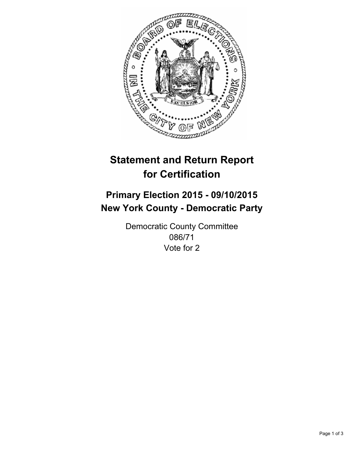

# **Statement and Return Report for Certification**

## **Primary Election 2015 - 09/10/2015 New York County - Democratic Party**

Democratic County Committee 086/71 Vote for 2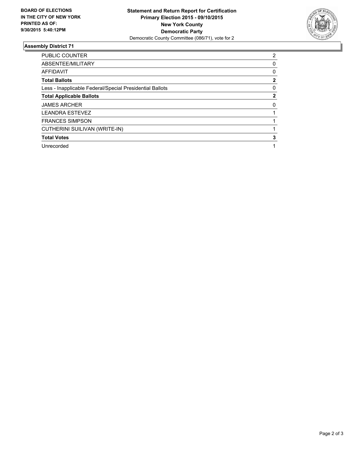

#### **Assembly District 71**

| PUBLIC COUNTER                                           | 2        |
|----------------------------------------------------------|----------|
| ABSENTEE/MILITARY                                        | 0        |
| <b>AFFIDAVIT</b>                                         | 0        |
| <b>Total Ballots</b>                                     | 2        |
| Less - Inapplicable Federal/Special Presidential Ballots | 0        |
| <b>Total Applicable Ballots</b>                          | 2        |
| <b>JAMES ARCHER</b>                                      | $\Omega$ |
| <b>LEANDRA ESTEVEZ</b>                                   |          |
| <b>FRANCES SIMPSON</b>                                   |          |
| CUTHERINI SUILIVAN (WRITE-IN)                            |          |
| <b>Total Votes</b>                                       | 3        |
| Unrecorded                                               |          |